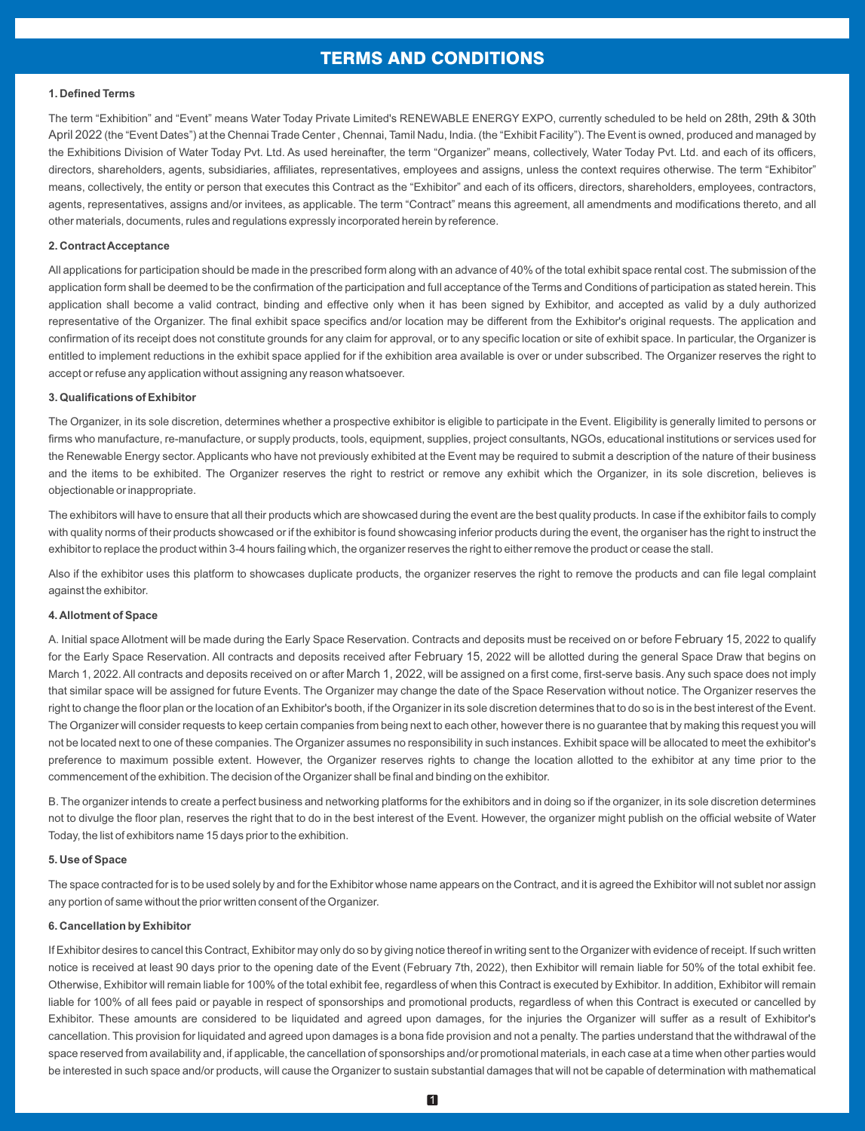# TERMS AND CONDITIONS

## **1. Defined Terms**

The term "Exhibition" and "Event" means Water Today Private Limited's RENEWABLE ENERGY EXPO, currently scheduled to be held on 28th, 29th & 30th April 2022 (the "Event Dates") at the Chennai Trade Center , Chennai, Tamil Nadu, India. (the "Exhibit Facility"). The Event is owned, produced and managed by the Exhibitions Division of Water Today Pvt. Ltd. As used hereinafter, the term "Organizer" means, collectively, Water Today Pvt. Ltd. and each of its officers, directors, shareholders, agents, subsidiaries, affiliates, representatives, employees and assigns, unless the context requires otherwise. The term "Exhibitor" means, collectively, the entity or person that executes this Contract as the "Exhibitor" and each of its officers, directors, shareholders, employees, contractors, agents, representatives, assigns and/or invitees, as applicable. The term "Contract" means this agreement, all amendments and modifications thereto, and all other materials, documents, rules and regulations expressly incorporated herein by reference.

# **2. Contract Acceptance**

All applications for participation should be made in the prescribed form along with an advance of 40% of the total exhibit space rental cost. The submission of the application form shall be deemed to be the confirmation of the participation and full acceptance of the Terms and Conditions of participation as stated herein. This application shall become a valid contract, binding and effective only when it has been signed by Exhibitor, and accepted as valid by a duly authorized representative of the Organizer. The final exhibit space specifics and/or location may be different from the Exhibitor's original requests. The application and confirmation of its receipt does not constitute grounds for any claim for approval, or to any specific location or site of exhibit space. In particular, the Organizer is entitled to implement reductions in the exhibit space applied for if the exhibition area available is over or under subscribed. The Organizer reserves the right to accept or refuse any application without assigning any reason whatsoever.

## **3. Qualifications of Exhibitor**

The Organizer, in its sole discretion, determines whether a prospective exhibitor is eligible to participate in the Event. Eligibility is generally limited to persons or firms who manufacture, re-manufacture, or supply products, tools, equipment, supplies, project consultants, NGOs, educational institutions or services used for the Renewable Energy sector. Applicants who have not previously exhibited at the Event may be required to submit a description of the nature of their business and the items to be exhibited. The Organizer reserves the right to restrict or remove any exhibit which the Organizer, in its sole discretion, believes is objectionable or inappropriate.

The exhibitors will have to ensure that all their products which are showcased during the event are the best quality products. In case if the exhibitor fails to comply with quality norms of their products showcased or if the exhibitor is found showcasing inferior products during the event, the organiser has the right to instruct the exhibitor to replace the product within 3-4 hours failing which, the organizer reserves the right to either remove the product or cease the stall.

Also if the exhibitor uses this platform to showcases duplicate products, the organizer reserves the right to remove the products and can file legal complaint against the exhibitor.

## **4. Allotment of Space**

A. Initial space Allotment will be made during the Early Space Reservation. Contracts and deposits must be received on or before February 15, 2022 to qualify for the Early Space Reservation. All contracts and deposits received after February 15, 2022 will be allotted during the general Space Draw that begins on March 1, 2022. All contracts and deposits received on or after March 1, 2022, will be assigned on a first come, first-serve basis. Any such space does not imply that similar space will be assigned for future Events. The Organizer may change the date of the Space Reservation without notice. The Organizer reserves the right to change the floor plan or the location of an Exhibitor's booth, if the Organizer in its sole discretion determines that to do so is in the best interest of the Event. The Organizer will consider requests to keep certain companies from being next to each other, however there is no guarantee that by making this request you will not be located next to one of these companies. The Organizer assumes no responsibility in such instances. Exhibit space will be allocated to meet the exhibitor's preference to maximum possible extent. However, the Organizer reserves rights to change the location allotted to the exhibitor at any time prior to the commencement of the exhibition. The decision of the Organizer shall be final and binding on the exhibitor.

B. The organizer intends to create a perfect business and networking platforms for the exhibitors and in doing so if the organizer, in its sole discretion determines not to divulge the floor plan, reserves the right that to do in the best interest of the Event. However, the organizer might publish on the official website of Water Today, the list of exhibitors name 15 days prior to the exhibition.

## **5. Use of Space**

The space contracted for is to be used solely by and for the Exhibitor whose name appears on the Contract, and it is agreed the Exhibitor will not sublet nor assign any portion of same without the prior written consent of the Organizer.

#### **6. Cancellation by Exhibitor**

If Exhibitor desires to cancel this Contract, Exhibitor may only do so by giving notice thereof in writing sent to the Organizer with evidence of receipt. If such written notice is received at least 90 days prior to the opening date of the Event (February 7th, 2022), then Exhibitor will remain liable for 50% of the total exhibit fee. Otherwise, Exhibitor will remain liable for 100% of the total exhibit fee, regardless of when this Contract is executed by Exhibitor. In addition, Exhibitor will remain liable for 100% of all fees paid or payable in respect of sponsorships and promotional products, regardless of when this Contract is executed or cancelled by Exhibitor. These amounts are considered to be liquidated and agreed upon damages, for the injuries the Organizer will suffer as a result of Exhibitor's cancellation. This provision for liquidated and agreed upon damages is a bona fide provision and not a penalty. The parties understand that the withdrawal of the space reserved from availability and, if applicable, the cancellation of sponsorships and/or promotional materials, in each case at a time when other parties would be interested in such space and/or products, will cause the Organizer to sustain substantial damages that will not be capable of determination with mathematical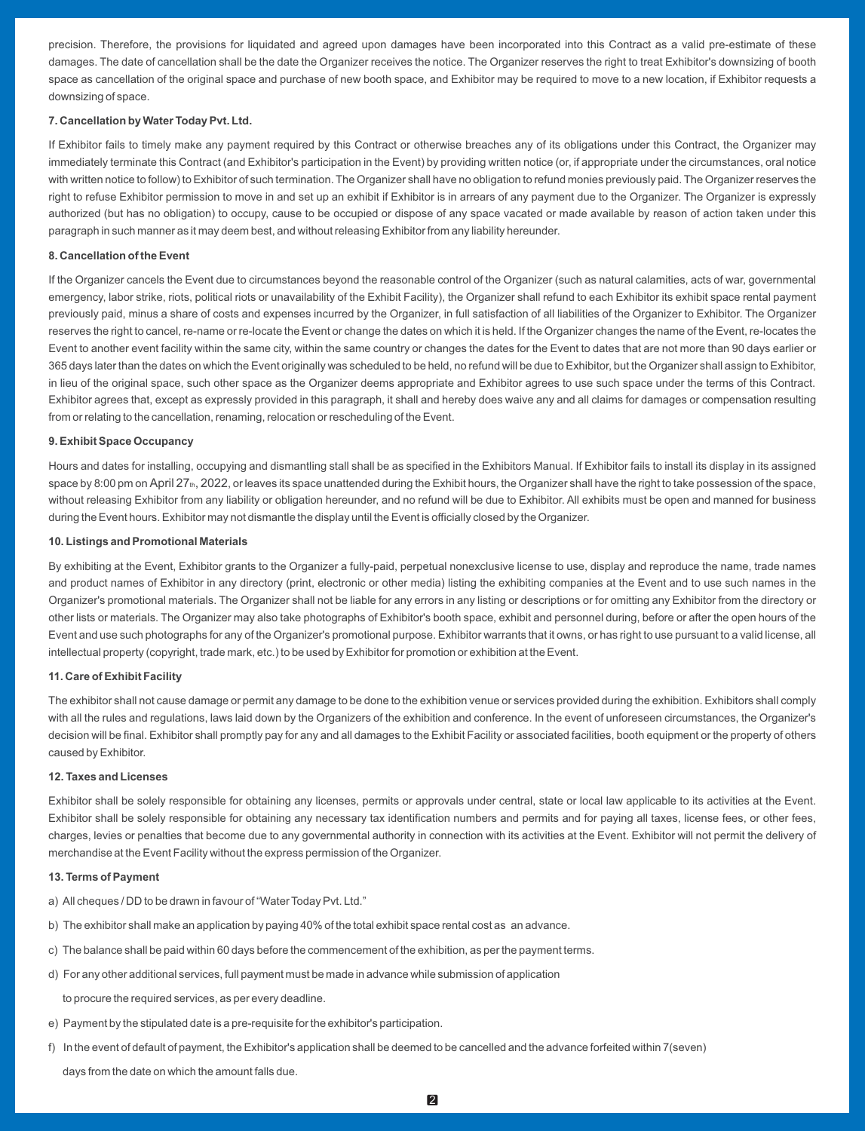precision. Therefore, the provisions for liquidated and agreed upon damages have been incorporated into this Contract as a valid pre-estimate of these damages. The date of cancellation shall be the date the Organizer receives the notice. The Organizer reserves the right to treat Exhibitor's downsizing of booth space as cancellation of the original space and purchase of new booth space, and Exhibitor may be required to move to a new location, if Exhibitor requests a downsizing of space.

## **7. Cancellation by Water Today Pvt. Ltd.**

If Exhibitor fails to timely make any payment required by this Contract or otherwise breaches any of its obligations under this Contract, the Organizer may immediately terminate this Contract (and Exhibitor's participation in the Event) by providing written notice (or, if appropriate under the circumstances, oral notice with written notice to follow) to Exhibitor of such termination. The Organizer shall have no obligation to refund monies previously paid. The Organizer reserves the right to refuse Exhibitor permission to move in and set up an exhibit if Exhibitor is in arrears of any payment due to the Organizer. The Organizer is expressly authorized (but has no obligation) to occupy, cause to be occupied or dispose of any space vacated or made available by reason of action taken under this paragraph in such manner as it may deem best, and without releasing Exhibitor from any liability hereunder.

## **8. Cancellation of the Event**

If the Organizer cancels the Event due to circumstances beyond the reasonable control of the Organizer (such as natural calamities, acts of war, governmental emergency, labor strike, riots, political riots or unavailability of the Exhibit Facility), the Organizer shall refund to each Exhibitor its exhibit space rental payment previously paid, minus a share of costs and expenses incurred by the Organizer, in full satisfaction of all liabilities of the Organizer to Exhibitor. The Organizer reserves the right to cancel, re-name or re-locate the Event or change the dates on which it is held. If the Organizer changes the name of the Event, re-locates the Event to another event facility within the same city, within the same country or changes the dates for the Event to dates that are not more than 90 days earlier or 365 days later than the dates on which the Event originally was scheduled to be held, no refund will be due to Exhibitor, but the Organizer shall assign to Exhibitor, in lieu of the original space, such other space as the Organizer deems appropriate and Exhibitor agrees to use such space under the terms of this Contract. Exhibitor agrees that, except as expressly provided in this paragraph, it shall and hereby does waive any and all claims for damages or compensation resulting from or relating to the cancellation, renaming, relocation or rescheduling of the Event.

## **9. Exhibit Space Occupancy**

Hours and dates for installing, occupying and dismantling stall shall be as specified in the Exhibitors Manual. If Exhibitor fails to install its display in its assigned space by 8:00 pm on April 27 $<sub>th</sub>$ , 2022, or leaves its space unattended during the Exhibit hours, the Organizer shall have the right to take possession of the space,</sub> without releasing Exhibitor from any liability or obligation hereunder, and no refund will be due to Exhibitor. All exhibits must be open and manned for business during the Event hours. Exhibitor may not dismantle the display until the Event is officially closed by the Organizer.

#### **10. Listings and Promotional Materials**

By exhibiting at the Event, Exhibitor grants to the Organizer a fully-paid, perpetual nonexclusive license to use, display and reproduce the name, trade names and product names of Exhibitor in any directory (print, electronic or other media) listing the exhibiting companies at the Event and to use such names in the Organizer's promotional materials. The Organizer shall not be liable for any errors in any listing or descriptions or for omitting any Exhibitor from the directory or other lists or materials. The Organizer may also take photographs of Exhibitor's booth space, exhibit and personnel during, before or after the open hours of the Event and use such photographs for any of the Organizer's promotional purpose. Exhibitor warrants that it owns, or has right to use pursuant to a valid license, all intellectual property (copyright, trade mark, etc.) to be used by Exhibitor for promotion or exhibition at the Event.

## **11. Care of Exhibit Facility**

The exhibitor shall not cause damage or permit any damage to be done to the exhibition venue or services provided during the exhibition. Exhibitors shall comply with all the rules and regulations, laws laid down by the Organizers of the exhibition and conference. In the event of unforeseen circumstances, the Organizer's decision will be final. Exhibitor shall promptly pay for any and all damages to the Exhibit Facility or associated facilities, booth equipment or the property of others caused by Exhibitor.

#### **12. Taxes and Licenses**

Exhibitor shall be solely responsible for obtaining any licenses, permits or approvals under central, state or local law applicable to its activities at the Event. Exhibitor shall be solely responsible for obtaining any necessary tax identification numbers and permits and for paying all taxes, license fees, or other fees, charges, levies or penalties that become due to any governmental authority in connection with its activities at the Event. Exhibitor will not permit the delivery of merchandise at the Event Facility without the express permission of the Organizer.

### **13. Terms of Payment**

- a) All cheques / DD to be drawn in favour of "Water Today Pvt. Ltd."
- b) The exhibitor shall make an application by paying 40% of the total exhibit space rental cost as an advance.
- c) The balance shall be paid within 60 days before the commencement of the exhibition, as per the payment terms.
- d) For any other additional services, full payment must be made in advance while submission of application

to procure the required services, as per every deadline.

- e) Payment by the stipulated date is a pre-requisite for the exhibitor's participation.
- f) In the event of default of payment, the Exhibitor's application shall be deemed to be cancelled and the advance forfeited within 7(seven)

days from the date on which the amount falls due.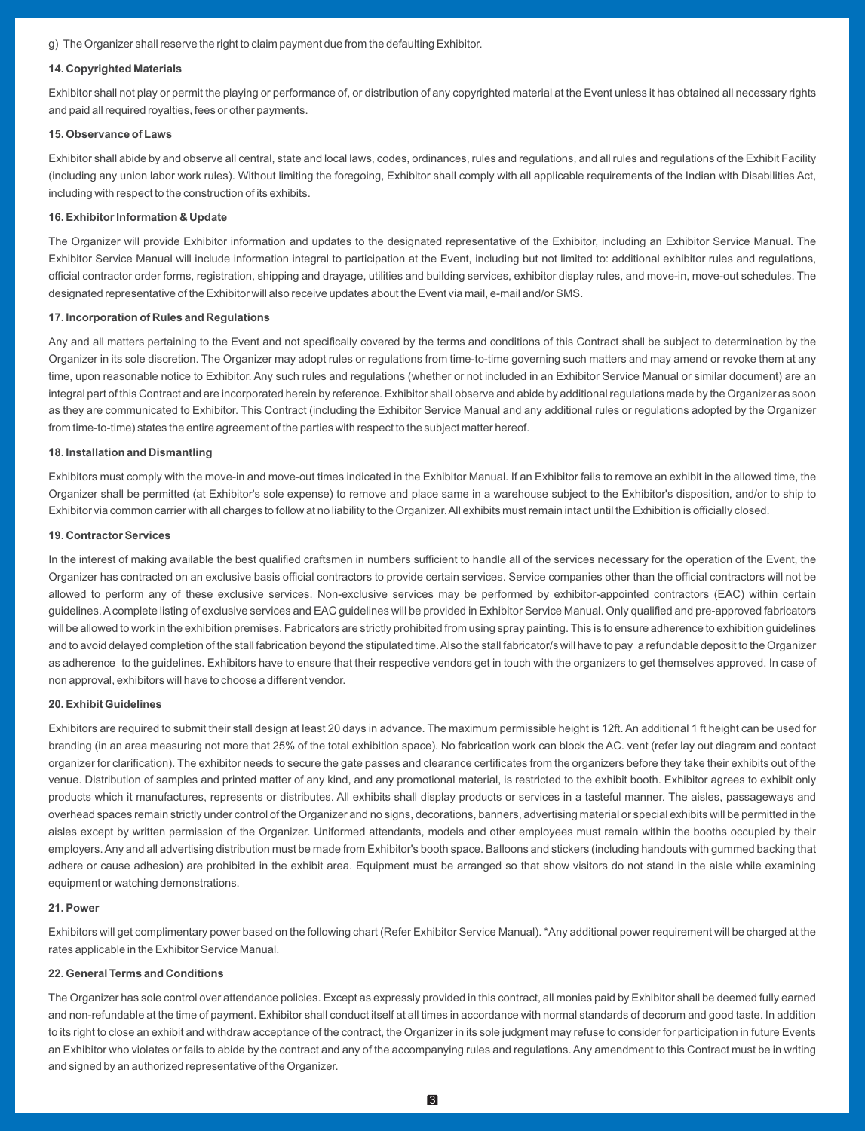g) The Organizer shall reserve the right to claim payment due from the defaulting Exhibitor.

## **14. Copyrighted Materials**

Exhibitor shall not play or permit the playing or performance of, or distribution of any copyrighted material at the Event unless it has obtained all necessary rights and paid all required royalties, fees or other payments.

#### **15. Observance of Laws**

Exhibitor shall abide by and observe all central, state and local laws, codes, ordinances, rules and regulations, and all rules and regulations of the Exhibit Facility (including any union labor work rules). Without limiting the foregoing, Exhibitor shall comply with all applicable requirements of the Indian with Disabilities Act, including with respect to the construction of its exhibits.

## **16. Exhibitor Information & Update**

The Organizer will provide Exhibitor information and updates to the designated representative of the Exhibitor, including an Exhibitor Service Manual. The Exhibitor Service Manual will include information integral to participation at the Event, including but not limited to: additional exhibitor rules and regulations, official contractor order forms, registration, shipping and drayage, utilities and building services, exhibitor display rules, and move-in, move-out schedules. The designated representative of the Exhibitor will also receive updates about the Event via mail, e-mail and/or SMS.

#### **17. Incorporation of Rules and Regulations**

Any and all matters pertaining to the Event and not specifically covered by the terms and conditions of this Contract shall be subject to determination by the Organizer in its sole discretion. The Organizer may adopt rules or regulations from time-to-time governing such matters and may amend or revoke them at any time, upon reasonable notice to Exhibitor. Any such rules and regulations (whether or not included in an Exhibitor Service Manual or similar document) are an integral part of this Contract and are incorporated herein by reference. Exhibitor shall observe and abide by additional regulations made by the Organizer as soon as they are communicated to Exhibitor. This Contract (including the Exhibitor Service Manual and any additional rules or regulations adopted by the Organizer from time-to-time) states the entire agreement of the parties with respect to the subject matter hereof.

## **18. Installation and Dismantling**

Exhibitors must comply with the move-in and move-out times indicated in the Exhibitor Manual. If an Exhibitor fails to remove an exhibit in the allowed time, the Organizer shall be permitted (at Exhibitor's sole expense) to remove and place same in a warehouse subject to the Exhibitor's disposition, and/or to ship to Exhibitor via common carrier with all charges to follow at no liability to the Organizer. All exhibits must remain intact until the Exhibition is officially closed.

#### **19. Contractor Services**

In the interest of making available the best qualified craftsmen in numbers sufficient to handle all of the services necessary for the operation of the Event, the Organizer has contracted on an exclusive basis official contractors to provide certain services. Service companies other than the official contractors will not be allowed to perform any of these exclusive services. Non-exclusive services may be performed by exhibitor-appointed contractors (EAC) within certain guidelines. Acomplete listing of exclusive services and EAC guidelines will be provided in Exhibitor Service Manual. Only qualified and pre-approved fabricators will be allowed to work in the exhibition premises. Fabricators are strictly prohibited from using spray painting. This is to ensure adherence to exhibition guidelines and to avoid delayed completion of the stall fabrication beyond the stipulated time. Also the stall fabricator/s will have to pay a refundable deposit to the Organizer as adherence to the guidelines. Exhibitors have to ensure that their respective vendors get in touch with the organizers to get themselves approved. In case of non approval, exhibitors will have to choose a different vendor.

## **20. Exhibit Guidelines**

Exhibitors are required to submit their stall design at least 20 days in advance. The maximum permissible height is 12ft. An additional 1 ft height can be used for branding (in an area measuring not more that 25% of the total exhibition space). No fabrication work can block the AC. vent (refer lay out diagram and contact organizer for clarification). The exhibitor needs to secure the gate passes and clearance certificates from the organizers before they take their exhibits out of the venue. Distribution of samples and printed matter of any kind, and any promotional material, is restricted to the exhibit booth. Exhibitor agrees to exhibit only products which it manufactures, represents or distributes. All exhibits shall display products or services in a tasteful manner. The aisles, passageways and overhead spaces remain strictly under control of the Organizer and no signs, decorations, banners, advertising material or special exhibits will be permitted in the aisles except by written permission of the Organizer. Uniformed attendants, models and other employees must remain within the booths occupied by their employers. Any and all advertising distribution must be made from Exhibitor's booth space. Balloons and stickers (including handouts with gummed backing that adhere or cause adhesion) are prohibited in the exhibit area. Equipment must be arranged so that show visitors do not stand in the aisle while examining equipment or watching demonstrations.

#### **21. Power**

Exhibitors will get complimentary power based on the following chart (Refer Exhibitor Service Manual). \*Any additional power requirement will be charged at the rates applicable in the Exhibitor Service Manual.

## **22. General Terms and Conditions**

The Organizer has sole control over attendance policies. Except as expressly provided in this contract, all monies paid by Exhibitor shall be deemed fully earned and non-refundable at the time of payment. Exhibitor shall conduct itself at all times in accordance with normal standards of decorum and good taste. In addition to its right to close an exhibit and withdraw acceptance of the contract, the Organizer in its sole judgment may refuse to consider for participation in future Events an Exhibitor who violates or fails to abide by the contract and any of the accompanying rules and regulations. Any amendment to this Contract must be in writing and signed by an authorized representative of the Organizer.

3